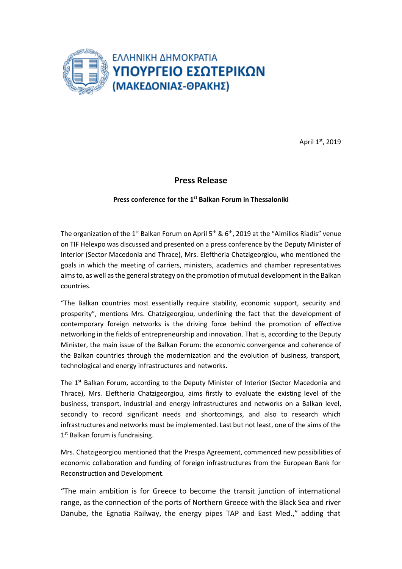

April 1st, 2019

## **Press Release**

## **Press conference for the 1 st Balkan Forum in Thessaloniki**

The organization of the 1<sup>st</sup> Balkan Forum on April 5<sup>th</sup> & 6<sup>th</sup>, 2019 at the "Aimilios Riadis" venue on TIF Helexpo was discussed and presented on a press conference by the Deputy Minister of Interior (Sector Macedonia and Thrace), Mrs. Eleftheria Chatzigeorgiou, who mentioned the goals in which the meeting of carriers, ministers, academics and chamber representatives aims to, as well as the general strategy on the promotion of mutual development in the Balkan countries.

"The Balkan countries most essentially require stability, economic support, security and prosperity", mentions Mrs. Chatzigeorgiou, underlining the fact that the development of contemporary foreign networks is the driving force behind the promotion of effective networking in the fields of entrepreneurship and innovation. That is, according to the Deputy Minister, the main issue of the Balkan Forum: the economic convergence and coherence of the Balkan countries through the modernization and the evolution of business, transport, technological and energy infrastructures and networks.

The  $1<sup>st</sup>$  Balkan Forum, according to the Deputy Minister of Interior (Sector Macedonia and Thrace), Mrs. Eleftheria Chatzigeorgiou, aims firstly to evaluate the existing level of the business, transport, industrial and energy infrastructures and networks on a Balkan level, secondly to record significant needs and shortcomings, and also to research which infrastructures and networks must be implemented. Last but not least, one of the aims of the 1<sup>st</sup> Balkan forum is fundraising.

Mrs. Chatzigeorgiou mentioned that the Prespa Agreement, commenced new possibilities of economic collaboration and funding of foreign infrastructures from the European Bank for Reconstruction and Development.

"The main ambition is for Greece to become the transit junction of international range, as the connection of the ports of Northern Greece with the Black Sea and river Danube, the Egnatia Railway, the energy pipes TAP and East Med.," adding that